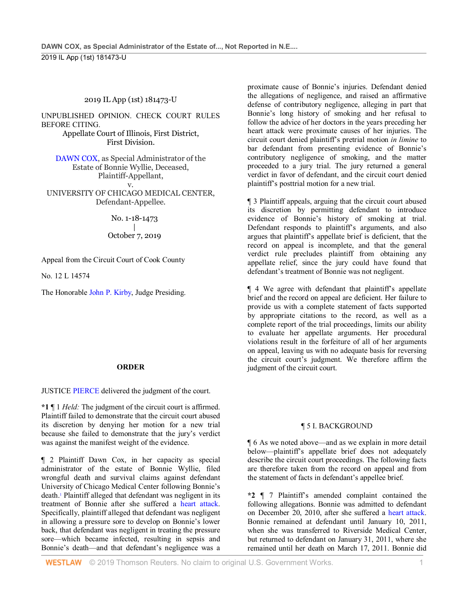# 2019 IL App (1st) 181473-U

UNPUBLISHED OPINION. CHECK COURT RULES BEFORE CITING. Appellate Court of Illinois, First District, First Division.

[DAWN COX,](http://www.westlaw.com/Search/Results.html?query=advanced%3a+OAID(5061840575)&saveJuris=False&contentType=BUSINESS-INVESTIGATOR&startIndex=1&contextData=(sc.Default)&categoryPageUrl=Home%2fCompanyInvestigator&originationContext=document&vr=3.0&rs=cblt1.0&transitionType=DocumentItem) as Special Administrator of the Estate of Bonnie Wyllie, Deceased, Plaintiff-Appellant, v.

UNIVERSITY OF CHICAGO MEDICAL CENTER, Defendant-Appellee.

> No. 1-18-1473 | October 7, 2019

Appeal from the Circuit Court of Cook County

No. 12 L 14574

The Honorable [John P. Kirby,](http://www.westlaw.com/Link/Document/FullText?findType=h&pubNum=176284&cite=0163568801&originatingDoc=I79e4ce10ea4211e9ad6fd2296b11a061&refType=RQ&originationContext=document&vr=3.0&rs=cblt1.0&transitionType=DocumentItem&contextData=(sc.Search)) Judge Presiding.

# **ORDER**

JUSTICE [PIERCE](http://www.westlaw.com/Link/Document/FullText?findType=h&pubNum=176284&cite=0358279501&originatingDoc=I79e4ce10ea4211e9ad6fd2296b11a061&refType=RQ&originationContext=document&vr=3.0&rs=cblt1.0&transitionType=DocumentItem&contextData=(sc.Search)) delivered the judgment of the court.

**\*1** ¶ 1 *Held:* The judgment of the circuit court is affirmed. Plaintiff failed to demonstrate that the circuit court abused its discretion by denying her motion for a new trial because she failed to demonstrate that the jury's verdict was against the manifest weight of the evidence.

¶ 2 Plaintiff Dawn Cox, in her capacity as special administrator of the estate of Bonnie Wyllie, filed wrongful death and survival claims against defendant University of Chicago Medical Center following Bonnie's death.1 Plaintiff alleged that defendant was negligent in its treatment of Bonnie after she suffered a [heart attack.](http://www.westlaw.com/Link/Document/FullText?entityType=disease&entityId=Ib9c08b34475411db9765f9243f53508a&originationContext=document&transitionType=DocumentItem&contextData=(sc.Default)&vr=3.0&rs=cblt1.0)  Specifically, plaintiff alleged that defendant was negligent in allowing a pressure sore to develop on Bonnie's lower back, that defendant was negligent in treating the pressure sore—which became infected, resulting in sepsis and Bonnie's death—and that defendant's negligence was a

proximate cause of Bonnie's injuries. Defendant denied the allegations of negligence, and raised an affirmative defense of contributory negligence, alleging in part that Bonnie's long history of smoking and her refusal to follow the advice of her doctors in the years preceding her heart attack were proximate causes of her injuries. The circuit court denied plaintiff's pretrial motion *in limine* to bar defendant from presenting evidence of Bonnie's contributory negligence of smoking, and the matter proceeded to a jury trial. The jury returned a general verdict in favor of defendant, and the circuit court denied plaintiff's posttrial motion for a new trial.

¶ 3 Plaintiff appeals, arguing that the circuit court abused its discretion by permitting defendant to introduce evidence of Bonnie's history of smoking at trial. Defendant responds to plaintiff's arguments, and also argues that plaintiff's appellate brief is deficient, that the record on appeal is incomplete, and that the general verdict rule precludes plaintiff from obtaining any appellate relief, since the jury could have found that defendant's treatment of Bonnie was not negligent.

¶ 4 We agree with defendant that plaintiff's appellate brief and the record on appeal are deficient. Her failure to provide us with a complete statement of facts supported by appropriate citations to the record, as well as a complete report of the trial proceedings, limits our ability to evaluate her appellate arguments. Her procedural violations result in the forfeiture of all of her arguments on appeal, leaving us with no adequate basis for reversing the circuit court's judgment. We therefore affirm the judgment of the circuit court.

# ¶ 5 I. BACKGROUND

¶ 6 As we noted above—and as we explain in more detail below—plaintiff's appellate brief does not adequately describe the circuit court proceedings. The following facts are therefore taken from the record on appeal and from the statement of facts in defendant's appellee brief.

**\*2** ¶ 7 Plaintiff's amended complaint contained the following allegations. Bonnie was admitted to defendant on December 20, 2010, after she suffered a [heart attack.](http://www.westlaw.com/Link/Document/FullText?entityType=disease&entityId=Ib9c08b34475411db9765f9243f53508a&originationContext=document&transitionType=DocumentItem&contextData=(sc.Default)&vr=3.0&rs=cblt1.0) Bonnie remained at defendant until January 10, 2011, when she was transferred to Riverside Medical Center, but returned to defendant on January 31, 2011, where she remained until her death on March 17, 2011. Bonnie did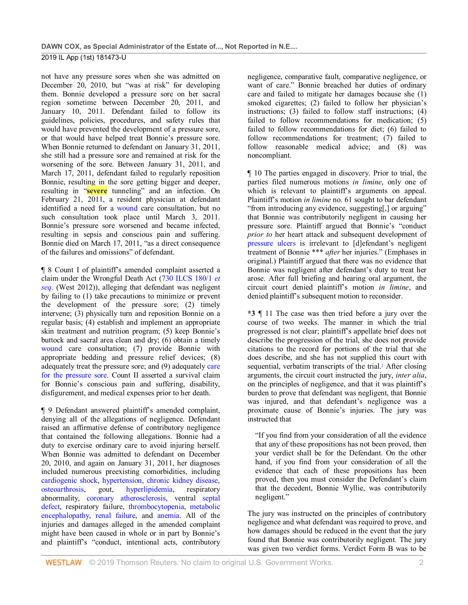not have any pressure sores when she was admitted on December 20, 2010, but "was at risk" for developing them. Bonnie developed a pressure sore on her sacral region sometime between December 20, 2011, and January 10, 2011. Defendant failed to follow its guidelines, policies, procedures, and safety rules that would have prevented the development of a pressure sore, or that would have helped treat Bonnie's pressure sore. When Bonnie returned to defendant on January 31, 2011, she still had a pressure sore and remained at risk for the worsening of the sore. Between January 31, 2011, and March 17, 2011, defendant failed to regularly reposition Bonnie, resulting in the sore getting bigger and deeper, resulting in "**severe** tunneling" and an infection. On February 21, 2011, a resident physician at defendant identified a need for a [wound](http://www.westlaw.com/Link/Document/FullText?entityType=gdrug&entityId=Iff1648e16c7111e18b05fdf15589d8e8&originationContext=document&transitionType=DocumentItem&contextData=(sc.Default)&vr=3.0&rs=cblt1.0) care consultation, but no such consultation took place until March 3, 2011. Bonnie's pressure sore worsened and became infected, resulting in sepsis and conscious pain and suffering. Bonnie died on March 17, 2011, "as a direct consequence of the failures and omissions" of defendant.

¶ 8 Count I of plaintiff's amended complaint asserted a claim under the Wrongful Death Act [\(730 ILCS 180/1](http://www.westlaw.com/Link/Document/FullText?findType=L&pubNum=1000008&cite=IL730S180%2f1&originatingDoc=I79e4ce10ea4211e9ad6fd2296b11a061&refType=LQ&originationContext=document&vr=3.0&rs=cblt1.0&transitionType=DocumentItem&contextData=(sc.Search)) *et [seq.](http://www.westlaw.com/Link/Document/FullText?findType=L&pubNum=1000008&cite=IL730S180%2f1&originatingDoc=I79e4ce10ea4211e9ad6fd2296b11a061&refType=LQ&originationContext=document&vr=3.0&rs=cblt1.0&transitionType=DocumentItem&contextData=(sc.Search))* (West 2012)), alleging that defendant was negligent by failing to (1) take precautions to minimize or prevent the development of the pressure sore; (2) timely intervene; (3) physically turn and reposition Bonnie on a regular basis; (4) establish and implement an appropriate skin treatment and nutrition program; (5) keep Bonnie's buttock and sacral area clean and dry; (6) obtain a timely [wound](http://www.westlaw.com/Link/Document/FullText?entityType=gdrug&entityId=Iff1648e16c7111e18b05fdf15589d8e8&originationContext=document&transitionType=DocumentItem&contextData=(sc.Default)&vr=3.0&rs=cblt1.0) care consultation; (7) provide Bonnie with appropriate bedding and pressure relief devices; (8) adequately treat the pressure sore; and (9) adequately [care](http://www.westlaw.com/Link/Document/FullText?entityType=mproc&entityId=Ic7d79207475411db9765f9243f53508a&originationContext=document&transitionType=DocumentItem&contextData=(sc.Default)&vr=3.0&rs=cblt1.0)  [for the pressure sore.](http://www.westlaw.com/Link/Document/FullText?entityType=mproc&entityId=Ic7d79207475411db9765f9243f53508a&originationContext=document&transitionType=DocumentItem&contextData=(sc.Default)&vr=3.0&rs=cblt1.0) Count II asserted a survival claim for Bonnie's conscious pain and suffering, disability, disfigurement, and medical expenses prior to her death.

¶ 9 Defendant answered plaintiff's amended complaint, denying all of the allegations of negligence. Defendant raised an affirmative defense of contributory negligence that contained the following allegations. Bonnie had a duty to exercise ordinary care to avoid injuring herself. When Bonnie was admitted to defendant on December 20, 2010, and again on January 31, 2011, her diagnoses included numerous preexisting comorbidities, including [cardiogenic shock,](http://www.westlaw.com/Link/Document/FullText?entityType=disease&entityId=Ic39ea2cb475411db9765f9243f53508a&originationContext=document&transitionType=DocumentItem&contextData=(sc.Default)&vr=3.0&rs=cblt1.0) [hypertension,](http://www.westlaw.com/Link/Document/FullText?entityType=disease&entityId=Ib351829d475411db9765f9243f53508a&originationContext=document&transitionType=DocumentItem&contextData=(sc.Default)&vr=3.0&rs=cblt1.0) [chronic kidney disease,](http://www.westlaw.com/Link/Document/FullText?entityType=disease&entityId=Iaada0044475411db9765f9243f53508a&originationContext=document&transitionType=DocumentItem&contextData=(sc.Default)&vr=3.0&rs=cblt1.0) [osteoarthrosis,](http://www.westlaw.com/Link/Document/FullText?entityType=disease&entityId=Ibf43d470475411db9765f9243f53508a&originationContext=document&transitionType=DocumentItem&contextData=(sc.Default)&vr=3.0&rs=cblt1.0) gout, [hyperlipidemia,](http://www.westlaw.com/Link/Document/FullText?entityType=disease&entityId=Ic21f5635475411db9765f9243f53508a&originationContext=document&transitionType=DocumentItem&contextData=(sc.Default)&vr=3.0&rs=cblt1.0) respiratory abnormality, [coronary atherosclerosis,](http://www.westlaw.com/Link/Document/FullText?entityType=disease&entityId=Ic4cf5abe475411db9765f9243f53508a&originationContext=document&transitionType=DocumentItem&contextData=(sc.Default)&vr=3.0&rs=cblt1.0) ventral [septal](http://www.westlaw.com/Link/Document/FullText?entityType=disease&entityId=Ic94ccc7f475411db9765f9243f53508a&originationContext=document&transitionType=DocumentItem&contextData=(sc.Default)&vr=3.0&rs=cblt1.0)  [defect,](http://www.westlaw.com/Link/Document/FullText?entityType=disease&entityId=Ic94ccc7f475411db9765f9243f53508a&originationContext=document&transitionType=DocumentItem&contextData=(sc.Default)&vr=3.0&rs=cblt1.0) respiratory failure, [thrombocytopenia,](http://www.westlaw.com/Link/Document/FullText?entityType=disease&entityId=I9f1f38f3475411db9765f9243f53508a&originationContext=document&transitionType=DocumentItem&contextData=(sc.Default)&vr=3.0&rs=cblt1.0) [metabolic](http://www.westlaw.com/Link/Document/FullText?entityType=disease&entityId=Ib2d267fc475411db9765f9243f53508a&originationContext=document&transitionType=DocumentItem&contextData=(sc.Default)&vr=3.0&rs=cblt1.0)  [encephalopathy,](http://www.westlaw.com/Link/Document/FullText?entityType=disease&entityId=Ib2d267fc475411db9765f9243f53508a&originationContext=document&transitionType=DocumentItem&contextData=(sc.Default)&vr=3.0&rs=cblt1.0) [renal failure,](http://www.westlaw.com/Link/Document/FullText?entityType=disease&entityId=Ib89aa8ef475411db9765f9243f53508a&originationContext=document&transitionType=DocumentItem&contextData=(sc.Default)&vr=3.0&rs=cblt1.0) and [anemia.](http://www.westlaw.com/Link/Document/FullText?entityType=disease&entityId=Ib2202ec4475411db9765f9243f53508a&originationContext=document&transitionType=DocumentItem&contextData=(sc.Default)&vr=3.0&rs=cblt1.0) All of the injuries and damages alleged in the amended complaint might have been caused in whole or in part by Bonnie's and plaintiff's "conduct, intentional acts, contributory

negligence, comparative fault, comparative negligence, or want of care." Bonnie breached her duties of ordinary care and failed to mitigate her damages because she (1) smoked cigarettes; (2) failed to follow her physician's instructions; (3) failed to follow staff instructions; (4) failed to follow recommendations for medication; (5) failed to follow recommendations for diet; (6) failed to follow recommendations for treatment; (7) failed to follow reasonable medical advice; and (8) was noncompliant.

¶ 10 The parties engaged in discovery. Prior to trial, the parties filed numerous motions *in limine*, only one of which is relevant to plaintiff's arguments on appeal. Plaintiff's motion *in limine* no. 61 sought to bar defendant "from introducing any evidence, suggesting[,] or arguing" that Bonnie was contributorily negligent in causing her pressure sore. Plaintiff argued that Bonnie's "conduct *prior to* her heart attack and subsequent development of [pressure ulcers](http://www.westlaw.com/Link/Document/FullText?entityType=disease&entityId=Iba86e8bc475411db9765f9243f53508a&originationContext=document&transitionType=DocumentItem&contextData=(sc.Default)&vr=3.0&rs=cblt1.0) is irrelevant to [d]efendant's negligent treatment of Bonnie \*\*\* *after* her injuries." (Emphases in original.) Plaintiff argued that there was no evidence that Bonnie was negligent after defendant's duty to treat her arose. After full briefing and hearing oral argument, the circuit court denied plaintiff's motion *in limine*, and denied plaintiff's subsequent motion to reconsider.

**\*3** ¶ 11 The case was then tried before a jury over the course of two weeks. The manner in which the trial progressed is not clear; plaintiff's appellate brief does not describe the progression of the trial, she does not provide citations to the record for portions of the trial that she does describe, and she has not supplied this court with sequential, verbatim transcripts of the trial.<sup>2</sup> After closing arguments, the circuit court instructed the jury, *inter alia*, on the principles of negligence, and that it was plaintiff's burden to prove that defendant was negligent, that Bonnie was injured, and that defendant's negligence was a proximate cause of Bonnie's injuries. The jury was instructed that

"If you find from your consideration of all the evidence that any of these propositions has not been proved, then your verdict shall be for the Defendant. On the other hand, if you find from your consideration of all the evidence that each of these propositions has been proved, then you must consider the Defendant's claim that the decedent, Bonnie Wyllie, was contributorily negligent."

The jury was instructed on the principles of contributory negligence and what defendant was required to prove, and how damages should be reduced in the event that the jury found that Bonnie was contributorily negligent. The jury was given two verdict forms. Verdict Form B was to be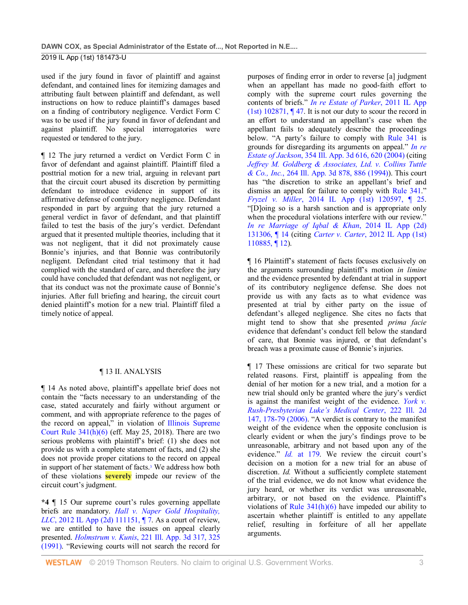used if the jury found in favor of plaintiff and against defendant, and contained lines for itemizing damages and attributing fault between plaintiff and defendant, as well instructions on how to reduce plaintiff's damages based on a finding of contributory negligence. Verdict Form C was to be used if the jury found in favor of defendant and against plaintiff. No special interrogatories were requested or tendered to the jury.

¶ 12 The jury returned a verdict on Verdict Form C in favor of defendant and against plaintiff. Plaintiff filed a posttrial motion for a new trial, arguing in relevant part that the circuit court abused its discretion by permitting defendant to introduce evidence in support of its affirmative defense of contributory negligence. Defendant responded in part by arguing that the jury returned a general verdict in favor of defendant, and that plaintiff failed to test the basis of the jury's verdict. Defendant argued that it presented multiple theories, including that it was not negligent, that it did not proximately cause Bonnie's injuries, and that Bonnie was contributorily negligent. Defendant cited trial testimony that it had complied with the standard of care, and therefore the jury could have concluded that defendant was not negligent, or that its conduct was not the proximate cause of Bonnie's injuries. After full briefing and hearing, the circuit court denied plaintiff's motion for a new trial. Plaintiff filed a timely notice of appeal.

# ¶ 13 II. ANALYSIS

¶ 14 As noted above, plaintiff's appellate brief does not contain the "facts necessary to an understanding of the case, stated accurately and fairly without argument or comment, and with appropriate reference to the pages of the record on appeal," in violation of [Illinois Supreme](http://www.westlaw.com/Link/Document/FullText?findType=L&pubNum=1003673&cite=ILRSCTR341&originatingDoc=I79e4ce10ea4211e9ad6fd2296b11a061&refType=LQ&originationContext=document&vr=3.0&rs=cblt1.0&transitionType=DocumentItem&contextData=(sc.Search))  Court Rule  $341(h)(6)$  (eff. May 25, 2018). There are two serious problems with plaintiff's brief: (1) she does not provide us with a complete statement of facts, and (2) she does not provide proper citations to the record on appeal in support of her statement of facts.<sup>3</sup> We address how both of these violations **severely** impede our review of the circuit court's judgment.

**\*4** ¶ 15 Our supreme court's rules governing appellate briefs are mandatory. *[Hall v. Naper Gold Hospitality,](http://www.westlaw.com/Link/Document/FullText?findType=Y&serNum=2027688679&pubNum=0007727&originatingDoc=I79e4ce10ea4211e9ad6fd2296b11a061&refType=RP&originationContext=document&vr=3.0&rs=cblt1.0&transitionType=DocumentItem&contextData=(sc.Search))  LLC*, 2012 IL App (2d) 111151, 17. As a court of review, we are entitled to have the issues on appeal clearly presented. *Holmstrum v. Kunis*[, 221 Ill. App. 3d 317, 325](http://www.westlaw.com/Link/Document/FullText?findType=Y&serNum=1991188538&pubNum=0000435&originatingDoc=I79e4ce10ea4211e9ad6fd2296b11a061&refType=RP&fi=co_pp_sp_435_325&originationContext=document&vr=3.0&rs=cblt1.0&transitionType=DocumentItem&contextData=(sc.Search)#co_pp_sp_435_325)  [\(1991\).](http://www.westlaw.com/Link/Document/FullText?findType=Y&serNum=1991188538&pubNum=0000435&originatingDoc=I79e4ce10ea4211e9ad6fd2296b11a061&refType=RP&fi=co_pp_sp_435_325&originationContext=document&vr=3.0&rs=cblt1.0&transitionType=DocumentItem&contextData=(sc.Search)#co_pp_sp_435_325) "Reviewing courts will not search the record for

purposes of finding error in order to reverse [a] judgment when an appellant has made no good-faith effort to comply with the supreme court rules governing the contents of briefs." *[In re Estate of Parker](http://www.westlaw.com/Link/Document/FullText?findType=Y&serNum=2025834933&pubNum=0007726&originatingDoc=I79e4ce10ea4211e9ad6fd2296b11a061&refType=RP&originationContext=document&vr=3.0&rs=cblt1.0&transitionType=DocumentItem&contextData=(sc.Search))*, 2011 IL App [\(1st\) 102871, ¶ 47.](http://www.westlaw.com/Link/Document/FullText?findType=Y&serNum=2025834933&pubNum=0007726&originatingDoc=I79e4ce10ea4211e9ad6fd2296b11a061&refType=RP&originationContext=document&vr=3.0&rs=cblt1.0&transitionType=DocumentItem&contextData=(sc.Search)) It is not our duty to scour the record in an effort to understand an appellant's case when the appellant fails to adequately describe the proceedings below. "A party's failure to comply with [Rule 341](http://www.westlaw.com/Link/Document/FullText?findType=L&pubNum=1003673&cite=ILRSCTR341&originatingDoc=I79e4ce10ea4211e9ad6fd2296b11a061&refType=LQ&originationContext=document&vr=3.0&rs=cblt1.0&transitionType=DocumentItem&contextData=(sc.Search)) is grounds for disregarding its arguments on appeal." *[In re](http://www.westlaw.com/Link/Document/FullText?findType=Y&serNum=2005871724&pubNum=0000435&originatingDoc=I79e4ce10ea4211e9ad6fd2296b11a061&refType=RP&fi=co_pp_sp_435_620&originationContext=document&vr=3.0&rs=cblt1.0&transitionType=DocumentItem&contextData=(sc.Search)#co_pp_sp_435_620)  Estate of Jackson*[, 354 Ill. App. 3d 616, 620 \(2004\)](http://www.westlaw.com/Link/Document/FullText?findType=Y&serNum=2005871724&pubNum=0000435&originatingDoc=I79e4ce10ea4211e9ad6fd2296b11a061&refType=RP&fi=co_pp_sp_435_620&originationContext=document&vr=3.0&rs=cblt1.0&transitionType=DocumentItem&contextData=(sc.Search)#co_pp_sp_435_620) (citing *[Jeffrey M. Goldberg & Associates, Ltd. v. Collins Tuttle](http://www.westlaw.com/Link/Document/FullText?findType=Y&serNum=1994140179&pubNum=0000435&originatingDoc=I79e4ce10ea4211e9ad6fd2296b11a061&refType=RP&fi=co_pp_sp_435_886&originationContext=document&vr=3.0&rs=cblt1.0&transitionType=DocumentItem&contextData=(sc.Search)#co_pp_sp_435_886)  & Co., Inc.*[, 264 Ill. App. 3d 878, 886 \(1994\)\)](http://www.westlaw.com/Link/Document/FullText?findType=Y&serNum=1994140179&pubNum=0000435&originatingDoc=I79e4ce10ea4211e9ad6fd2296b11a061&refType=RP&fi=co_pp_sp_435_886&originationContext=document&vr=3.0&rs=cblt1.0&transitionType=DocumentItem&contextData=(sc.Search)#co_pp_sp_435_886). This court has "the discretion to strike an appellant's brief and dismiss an appeal for failure to comply with [Rule 341.](http://www.westlaw.com/Link/Document/FullText?findType=L&pubNum=1003673&cite=ILRSCTR341&originatingDoc=I79e4ce10ea4211e9ad6fd2296b11a061&refType=LQ&originationContext=document&vr=3.0&rs=cblt1.0&transitionType=DocumentItem&contextData=(sc.Search))" *Fryzel v. Miller*[, 2014 IL App \(1st\) 120597, ¶ 25.](http://www.westlaw.com/Link/Document/FullText?findType=Y&serNum=2033427693&pubNum=0007726&originatingDoc=I79e4ce10ea4211e9ad6fd2296b11a061&refType=RP&originationContext=document&vr=3.0&rs=cblt1.0&transitionType=DocumentItem&contextData=(sc.Search)) "[D]oing so is a harsh sanction and is appropriate only when the procedural violations interfere with our review." *In [re Marriage of Iqbal & Khan](http://www.westlaw.com/Link/Document/FullText?findType=Y&serNum=2033334872&pubNum=0007727&originatingDoc=I79e4ce10ea4211e9ad6fd2296b11a061&refType=RP&originationContext=document&vr=3.0&rs=cblt1.0&transitionType=DocumentItem&contextData=(sc.Search))*, 2014 IL App (2d) [131306, ¶ 14](http://www.westlaw.com/Link/Document/FullText?findType=Y&serNum=2033334872&pubNum=0007727&originatingDoc=I79e4ce10ea4211e9ad6fd2296b11a061&refType=RP&originationContext=document&vr=3.0&rs=cblt1.0&transitionType=DocumentItem&contextData=(sc.Search)) (citing *Carter v. Carter*[, 2012 IL App \(1st\)](http://www.westlaw.com/Link/Document/FullText?findType=Y&pubNum=0007726&cite=2012ILA1PDC110885&originatingDoc=I79e4ce10ea4211e9ad6fd2296b11a061&refType=RP&originationContext=document&vr=3.0&rs=cblt1.0&transitionType=DocumentItem&contextData=(sc.Search))  [110885, ¶ 12\)](http://www.westlaw.com/Link/Document/FullText?findType=Y&pubNum=0007726&cite=2012ILA1PDC110885&originatingDoc=I79e4ce10ea4211e9ad6fd2296b11a061&refType=RP&originationContext=document&vr=3.0&rs=cblt1.0&transitionType=DocumentItem&contextData=(sc.Search)).

¶ 16 Plaintiff's statement of facts focuses exclusively on the arguments surrounding plaintiff's motion *in limine* and the evidence presented by defendant at trial in support of its contributory negligence defense. She does not provide us with any facts as to what evidence was presented at trial by either party on the issue of defendant's alleged negligence. She cites no facts that might tend to show that she presented *prima facie* evidence that defendant's conduct fell below the standard of care, that Bonnie was injured, or that defendant's breach was a proximate cause of Bonnie's injuries.

¶ 17 These omissions are critical for two separate but related reasons. First, plaintiff is appealing from the denial of her motion for a new trial, and a motion for a new trial should only be granted where the jury's verdict is against the manifest weight of the evidence. *[York v.](http://www.westlaw.com/Link/Document/FullText?findType=Y&serNum=2009406310&pubNum=0000439&originatingDoc=I79e4ce10ea4211e9ad6fd2296b11a061&refType=RP&fi=co_pp_sp_439_178&originationContext=document&vr=3.0&rs=cblt1.0&transitionType=DocumentItem&contextData=(sc.Search)#co_pp_sp_439_178)  [Rush-Presbyterian Luke's Medical Center](http://www.westlaw.com/Link/Document/FullText?findType=Y&serNum=2009406310&pubNum=0000439&originatingDoc=I79e4ce10ea4211e9ad6fd2296b11a061&refType=RP&fi=co_pp_sp_439_178&originationContext=document&vr=3.0&rs=cblt1.0&transitionType=DocumentItem&contextData=(sc.Search)#co_pp_sp_439_178)*, 222 Ill. 2d [147, 178-79 \(2006\).](http://www.westlaw.com/Link/Document/FullText?findType=Y&serNum=2009406310&pubNum=0000439&originatingDoc=I79e4ce10ea4211e9ad6fd2296b11a061&refType=RP&fi=co_pp_sp_439_178&originationContext=document&vr=3.0&rs=cblt1.0&transitionType=DocumentItem&contextData=(sc.Search)#co_pp_sp_439_178) "A verdict is contrary to the manifest weight of the evidence when the opposite conclusion is clearly evident or when the jury's findings prove to be unreasonable, arbitrary and not based upon any of the evidence." *Id.* [at 179.](http://www.westlaw.com/Link/Document/FullText?findType=Y&serNum=2009406310&pubNum=0000439&originatingDoc=I79e4ce10ea4211e9ad6fd2296b11a061&refType=RP&fi=co_pp_sp_439_179&originationContext=document&vr=3.0&rs=cblt1.0&transitionType=DocumentItem&contextData=(sc.Search)#co_pp_sp_439_179) We review the circuit court's decision on a motion for a new trial for an abuse of discretion. *Id.* Without a sufficiently complete statement of the trial evidence, we do not know what evidence the jury heard, or whether its verdict was unreasonable, arbitrary, or not based on the evidence. Plaintiff's violations of Rule  $341(h)(6)$  have impeded our ability to ascertain whether plaintiff is entitled to any appellate relief, resulting in forfeiture of all her appellate arguments.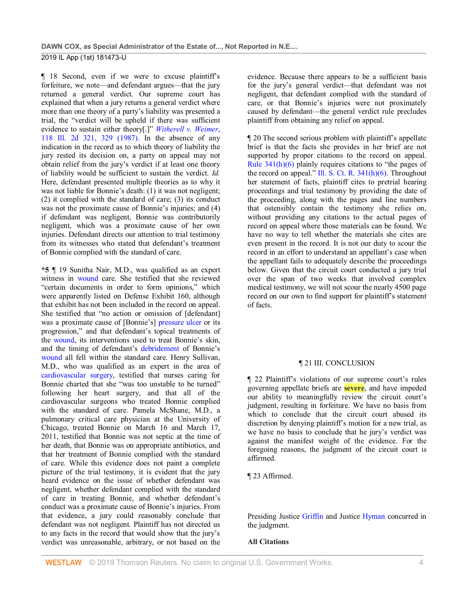¶ 18 Second, even if we were to excuse plaintiff's forfeiture, we note—and defendant argues—that the jury returned a general verdict. Our supreme court has explained that when a jury returns a general verdict where more than one theory of a party's liability was presented a trial, the "verdict will be upheld if there was sufficient evidence to sustain either theory[.]" *[Witherell v. Weimer](http://www.westlaw.com/Link/Document/FullText?findType=Y&serNum=1987120933&pubNum=0000439&originatingDoc=I79e4ce10ea4211e9ad6fd2296b11a061&refType=RP&fi=co_pp_sp_439_329&originationContext=document&vr=3.0&rs=cblt1.0&transitionType=DocumentItem&contextData=(sc.Search)#co_pp_sp_439_329)*, [118 Ill. 2d 321, 329 \(1987\).](http://www.westlaw.com/Link/Document/FullText?findType=Y&serNum=1987120933&pubNum=0000439&originatingDoc=I79e4ce10ea4211e9ad6fd2296b11a061&refType=RP&fi=co_pp_sp_439_329&originationContext=document&vr=3.0&rs=cblt1.0&transitionType=DocumentItem&contextData=(sc.Search)#co_pp_sp_439_329) In the absence of any indication in the record as to which theory of liability the jury rested its decision on, a party on appeal may not obtain relief from the jury's verdict if at least one theory of liability would be sufficient to sustain the verdict. *Id.* Here, defendant presented multiple theories as to why it was not liable for Bonnie's death: (1) it was not negligent; (2) it complied with the standard of care; (3) its conduct was not the proximate cause of Bonnie's injuries; and (4) if defendant was negligent, Bonnie was contributorily negligent, which was a proximate cause of her own injuries. Defendant directs our attention to trial testimony from its witnesses who stated that defendant's treatment of Bonnie complied with the standard of care.

**\*5** ¶ 19 Sunitha Nair, M.D., was qualified as an expert witness in [wound](http://www.westlaw.com/Link/Document/FullText?entityType=gdrug&entityId=Iff1648e16c7111e18b05fdf15589d8e8&originationContext=document&transitionType=DocumentItem&contextData=(sc.Default)&vr=3.0&rs=cblt1.0) care. She testified that she reviewed "certain documents in order to form opinions," which were apparently listed on Defense Exhibit 160, although that exhibit has not been included in the record on appeal. She testified that "no action or omission of [defendant] was a proximate cause of [Bonnie's] [pressure ulcer](http://www.westlaw.com/Link/Document/FullText?entityType=disease&entityId=Iba86e8bc475411db9765f9243f53508a&originationContext=document&transitionType=DocumentItem&contextData=(sc.Default)&vr=3.0&rs=cblt1.0) or its progression," and that defendant's topical treatments of the [wound,](http://www.westlaw.com/Link/Document/FullText?entityType=gdrug&entityId=Iff1648e16c7111e18b05fdf15589d8e8&originationContext=document&transitionType=DocumentItem&contextData=(sc.Default)&vr=3.0&rs=cblt1.0) its interventions used to treat Bonnie's skin, and the timing of defendant's [debridement](http://www.westlaw.com/Link/Document/FullText?entityType=mproc&entityId=Ib080af26475411db9765f9243f53508a&originationContext=document&transitionType=DocumentItem&contextData=(sc.Default)&vr=3.0&rs=cblt1.0) of Bonnie's [wound](http://www.westlaw.com/Link/Document/FullText?entityType=gdrug&entityId=Iff1648e16c7111e18b05fdf15589d8e8&originationContext=document&transitionType=DocumentItem&contextData=(sc.Default)&vr=3.0&rs=cblt1.0) all fell within the standard care. Henry Sullivan, M.D., who was qualified as an expert in the area of [cardiovascular surgery,](http://www.westlaw.com/Link/Document/FullText?entityType=mproc&entityId=Ic3045f27475411db9765f9243f53508a&originationContext=document&transitionType=DocumentItem&contextData=(sc.Default)&vr=3.0&rs=cblt1.0) testified that nurses caring for Bonnie charted that she "was too unstable to be turned" following her heart surgery, and that all of the cardiovascular surgeons who treated Bonnie complied with the standard of care. Pamela McShane, M.D., a pulmonary critical care physician at the University of Chicago, treated Bonnie on March 16 and March 17, 2011, testified that Bonnie was not septic at the time of her death, that Bonnie was on appropriate antibiotics, and that her treatment of Bonnie complied with the standard of care. While this evidence does not paint a complete picture of the trial testimony, it is evident that the jury heard evidence on the issue of whether defendant was negligent, whether defendant complied with the standard of care in treating Bonnie, and whether defendant's conduct was a proximate cause of Bonnie's injuries. From that evidence, a jury could reasonably conclude that defendant was not negligent. Plaintiff has not directed us to any facts in the record that would show that the jury's verdict was unreasonable, arbitrary, or not based on the

evidence. Because there appears to be a sufficient basis for the jury's general verdict—that defendant was not negligent, that defendant complied with the standard of care, or that Bonnie's injuries were not proximately caused by defendant—the general verdict rule precludes plaintiff from obtaining any relief on appeal.

¶ 20 The second serious problem with plaintiff's appellate brief is that the facts she provides in her brief are not supported by proper citations to the record on appeal. [Rule 341\(h\)\(6\)](http://www.westlaw.com/Link/Document/FullText?findType=L&pubNum=1003673&cite=ILRSCTR341&originatingDoc=I79e4ce10ea4211e9ad6fd2296b11a061&refType=LQ&originationContext=document&vr=3.0&rs=cblt1.0&transitionType=DocumentItem&contextData=(sc.Search)) plainly requires citations to "the pages of the record on appeal." Ill. S. Ct. R.  $341(h)(6)$ . Throughout her statement of facts, plaintiff cites to pretrial hearing proceedings and trial testimony by providing the date of the proceeding, along with the pages and line numbers that ostensibly contain the testimony she relies on, without providing any citations to the actual pages of record on appeal where those materials can be found. We have no way to tell whether the materials she cites are even present in the record. It is not our duty to scour the record in an effort to understand an appellant's case when the appellant fails to adequately describe the proceedings below. Given that the circuit court conducted a jury trial over the span of two weeks that involved complex medical testimony, we will not scour the nearly 4500 page record on our own to find support for plaintiff's statement of facts.

# ¶ 21 III. CONCLUSION

¶ 22 Plaintiff's violations of our supreme court's rules governing appellate briefs are **severe**, and have impeded our ability to meaningfully review the circuit court's judgment, resulting in forfeiture. We have no basis from which to conclude that the circuit court abused its discretion by denying plaintiff's motion for a new trial, as we have no basis to conclude that he jury's verdict was against the manifest weight of the evidence. For the foregoing reasons, the judgment of the circuit court is affirmed.

# ¶ 23 Affirmed.

Presiding Justice [Griffin](http://www.westlaw.com/Link/Document/FullText?findType=h&pubNum=176284&cite=0221024201&originatingDoc=I79e4ce10ea4211e9ad6fd2296b11a061&refType=RQ&originationContext=document&vr=3.0&rs=cblt1.0&transitionType=DocumentItem&contextData=(sc.Search)) and Justice [Hyman](http://www.westlaw.com/Link/Document/FullText?findType=h&pubNum=176284&cite=0128949301&originatingDoc=I79e4ce10ea4211e9ad6fd2296b11a061&refType=RQ&originationContext=document&vr=3.0&rs=cblt1.0&transitionType=DocumentItem&contextData=(sc.Search)) concurred in the judgment.

### **All Citations**